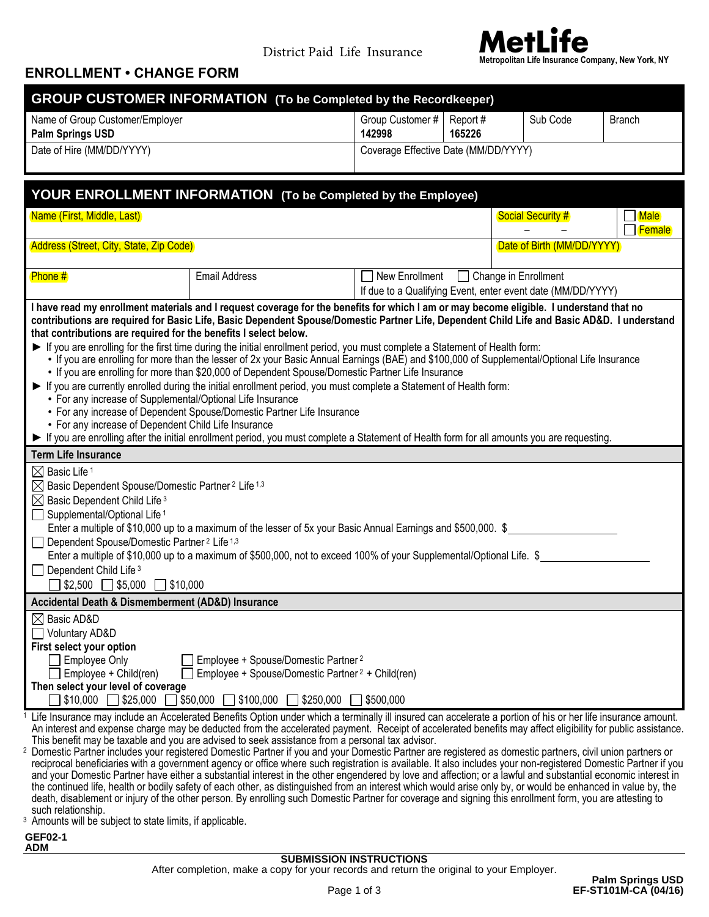

#### **ENROLLMENT • CHANGE FORM**

|                                                                                                                                                                                                                        | <b>GROUP CUSTOMER INFORMATION</b> (To be Completed by the Recordkeeper)                                                                                                                                                                                                                                                        |                                       |        |                                                             |                         |
|------------------------------------------------------------------------------------------------------------------------------------------------------------------------------------------------------------------------|--------------------------------------------------------------------------------------------------------------------------------------------------------------------------------------------------------------------------------------------------------------------------------------------------------------------------------|---------------------------------------|--------|-------------------------------------------------------------|-------------------------|
| Name of Group Customer/Employer<br>Palm Springs USD                                                                                                                                                                    |                                                                                                                                                                                                                                                                                                                                | Group Customer #   Report #<br>142998 | 165226 | Sub Code                                                    | <b>Branch</b>           |
| Date of Hire (MM/DD/YYYY)                                                                                                                                                                                              |                                                                                                                                                                                                                                                                                                                                | Coverage Effective Date (MM/DD/YYYY)  |        |                                                             |                         |
|                                                                                                                                                                                                                        |                                                                                                                                                                                                                                                                                                                                |                                       |        |                                                             |                         |
|                                                                                                                                                                                                                        | YOUR ENROLLMENT INFORMATION (To be Completed by the Employee)                                                                                                                                                                                                                                                                  |                                       |        |                                                             |                         |
| Name (First, Middle, Last)                                                                                                                                                                                             |                                                                                                                                                                                                                                                                                                                                |                                       |        | <b>Social Security #</b>                                    | $\Box$ Male<br>□ Female |
| Address (Street, City, State, Zip Code)                                                                                                                                                                                |                                                                                                                                                                                                                                                                                                                                |                                       |        | Date of Birth (MM/DD/YYYY)                                  |                         |
| Phone #                                                                                                                                                                                                                | <b>Email Address</b>                                                                                                                                                                                                                                                                                                           | New Enrollment   Change in Enrollment |        | If due to a Qualifying Event, enter event date (MM/DD/YYYY) |                         |
| that contributions are required for the benefits I select below.                                                                                                                                                       | I have read my enrollment materials and I request coverage for the benefits for which I am or may become eligible. I understand that no<br>contributions are required for Basic Life, Basic Dependent Spouse/Domestic Partner Life, Dependent Child Life and Basic AD&D. I understand                                          |                                       |        |                                                             |                         |
|                                                                                                                                                                                                                        | If you are enrolling for the first time during the initial enrollment period, you must complete a Statement of Health form:<br>• If you are enrolling for more than the lesser of 2x your Basic Annual Earnings (BAE) and \$100,000 of Supplemental/Optional Life Insurance                                                    |                                       |        |                                                             |                         |
| • If you are enrolling for more than \$20,000 of Dependent Spouse/Domestic Partner Life Insurance<br>If you are currently enrolled during the initial enrollment period, you must complete a Statement of Health form: |                                                                                                                                                                                                                                                                                                                                |                                       |        |                                                             |                         |
| • For any increase of Supplemental/Optional Life Insurance<br>• For any increase of Dependent Spouse/Domestic Partner Life Insurance                                                                                   |                                                                                                                                                                                                                                                                                                                                |                                       |        |                                                             |                         |
| • For any increase of Dependent Child Life Insurance<br>If you are enrolling after the initial enrollment period, you must complete a Statement of Health form for all amounts you are requesting.                     |                                                                                                                                                                                                                                                                                                                                |                                       |        |                                                             |                         |
| <b>Term Life Insurance</b>                                                                                                                                                                                             |                                                                                                                                                                                                                                                                                                                                |                                       |        |                                                             |                         |
| $\boxtimes$ Basic Life 1<br>$\boxtimes$ Basic Dependent Spouse/Domestic Partner 2 Life 1,3                                                                                                                             |                                                                                                                                                                                                                                                                                                                                |                                       |        |                                                             |                         |
| $\boxtimes$ Basic Dependent Child Life 3                                                                                                                                                                               |                                                                                                                                                                                                                                                                                                                                |                                       |        |                                                             |                         |
| $\Box$ Supplemental/Optional Life <sup>1</sup>                                                                                                                                                                         |                                                                                                                                                                                                                                                                                                                                |                                       |        |                                                             |                         |
| Dependent Spouse/Domestic Partner <sup>2</sup> Life <sup>1,3</sup><br>$\vert \ \ \vert$                                                                                                                                | Enter a multiple of \$10,000 up to a maximum of the lesser of 5x your Basic Annual Earnings and \$500,000. \$                                                                                                                                                                                                                  |                                       |        |                                                             |                         |
|                                                                                                                                                                                                                        | Enter a multiple of \$10,000 up to a maximum of \$500,000, not to exceed 100% of your Supplemental/Optional Life. \$                                                                                                                                                                                                           |                                       |        |                                                             |                         |
| $\Box$ Dependent Child Life $3$                                                                                                                                                                                        |                                                                                                                                                                                                                                                                                                                                |                                       |        |                                                             |                         |
| $\Box$ \$2,500 $\Box$ \$5,000 $\Box$ \$10,000                                                                                                                                                                          |                                                                                                                                                                                                                                                                                                                                |                                       |        |                                                             |                         |
| Accidental Death & Dismemberment (AD&D) Insurance<br>$\boxtimes$ Basic AD&D                                                                                                                                            |                                                                                                                                                                                                                                                                                                                                |                                       |        |                                                             |                         |
| <b>Voluntary AD&amp;D</b>                                                                                                                                                                                              |                                                                                                                                                                                                                                                                                                                                |                                       |        |                                                             |                         |
| First select your option                                                                                                                                                                                               |                                                                                                                                                                                                                                                                                                                                |                                       |        |                                                             |                         |
| <b>Employee Only</b>                                                                                                                                                                                                   | Employee + Spouse/Domestic Partner <sup>2</sup>                                                                                                                                                                                                                                                                                |                                       |        |                                                             |                         |
| Employee + Child(ren)<br>Then select your level of coverage                                                                                                                                                            | Employee + Spouse/Domestic Partner <sup>2</sup> + Child(ren)                                                                                                                                                                                                                                                                   |                                       |        |                                                             |                         |
| $$10,000$ \$25,000                                                                                                                                                                                                     | \$50,000<br>5100,000 [<br>$\Box$ \$250,000                                                                                                                                                                                                                                                                                     | \$500,000                             |        |                                                             |                         |
|                                                                                                                                                                                                                        | Life Insurance may include an Accelerated Benefits Option under which a terminally ill insured can accelerate a portion of his or her life insurance amount.                                                                                                                                                                   |                                       |        |                                                             |                         |
|                                                                                                                                                                                                                        | An interest and expense charge may be deducted from the accelerated payment. Receipt of accelerated benefits may affect eligibility for public assistance.<br>This benefit may be taxable and you are advised to seek assistance from a personal tax advisor.                                                                  |                                       |        |                                                             |                         |
|                                                                                                                                                                                                                        | Domestic Partner includes your registered Domestic Partner if you and your Domestic Partner are registered as domestic partners, civil union partners or                                                                                                                                                                       |                                       |        |                                                             |                         |
|                                                                                                                                                                                                                        | reciprocal beneficiaries with a government agency or office where such registration is available. It also includes your non-registered Domestic Partner if you<br>and your Domestic Partner have either a substantial interest in the other engendered by love and affection; or a lawful and substantial economic interest in |                                       |        |                                                             |                         |
|                                                                                                                                                                                                                        | the continued life, health or bodily safety of each other, as distinguished from an interest which would arise only by, or would be enhanced in value by, the                                                                                                                                                                  |                                       |        |                                                             |                         |
| such relationship.                                                                                                                                                                                                     | death, disablement or injury of the other person. By enrolling such Domestic Partner for coverage and signing this enrollment form, you are attesting to                                                                                                                                                                       |                                       |        |                                                             |                         |

<sup>3</sup> Amounts will be subject to state limits, if applicable.

**GEF02-1 ADM**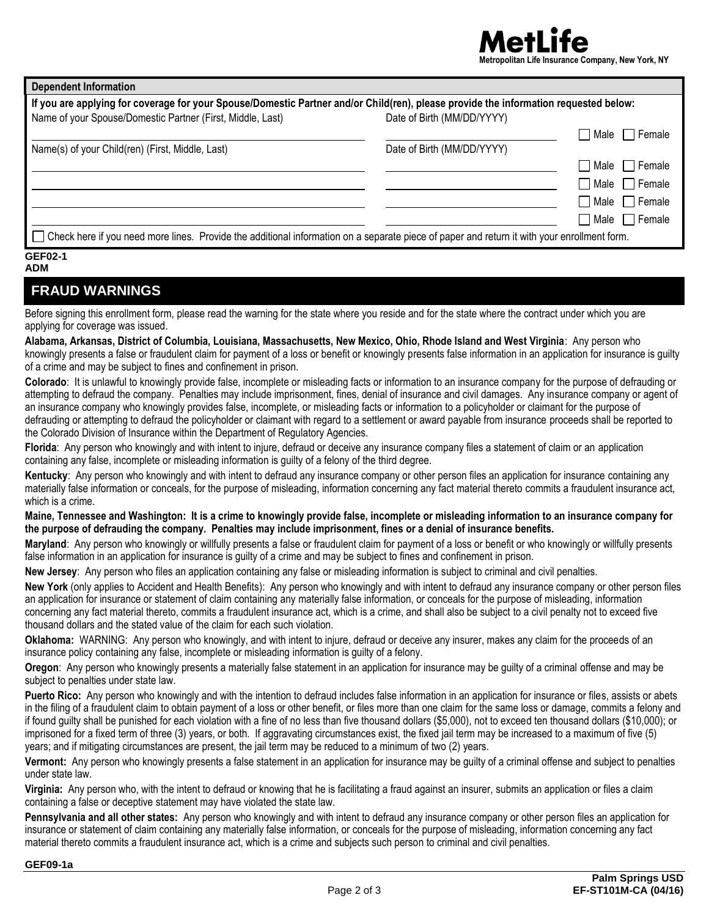# **Metropolitan Life Insurance Company, New York, NY**

| <b>Dependent Information</b>                                                                                                                |                            |                                           |
|---------------------------------------------------------------------------------------------------------------------------------------------|----------------------------|-------------------------------------------|
| If you are applying for coverage for your Spouse/Domestic Partner and/or Child(ren), please provide the information requested below:        |                            |                                           |
| Name of your Spouse/Domestic Partner (First, Middle, Last)                                                                                  | Date of Birth (MM/DD/YYYY) |                                           |
|                                                                                                                                             |                            | $\blacksquare$ Male $\blacksquare$ Female |
| Name(s) of your Child(ren) (First, Middle, Last)                                                                                            | Date of Birth (MM/DD/YYYY) |                                           |
|                                                                                                                                             |                            | Male $\Box$ Female                        |
|                                                                                                                                             |                            | $\Box$ Male $\Box$ Female                 |
|                                                                                                                                             |                            | $\Box$ Male $\Box$ Female                 |
|                                                                                                                                             |                            | $\Box$ Male $\Box$ Female                 |
| Check here if you need more lines. Provide the additional information on a separate piece of paper and return it with your enrollment form. |                            |                                           |

#### **GEF02-1**

#### **ADM**

### **FRAUD WARNINGS**

Before signing this enrollment form, please read the warning for the state where you reside and for the state where the contract under which you are applying for coverage was issued.

**Alabama, Arkansas, District of Columbia, Louisiana, Massachusetts, New Mexico, Ohio, Rhode Island and West Virginia**: Any person who knowingly presents a false or fraudulent claim for payment of a loss or benefit or knowingly presents false information in an application for insurance is guilty of a crime and may be subject to fines and confinement in prison.

**Colorado**: It is unlawful to knowingly provide false, incomplete or misleading facts or information to an insurance company for the purpose of defrauding or attempting to defraud the company. Penalties may include imprisonment, fines, denial of insurance and civil damages. Any insurance company or agent of an insurance company who knowingly provides false, incomplete, or misleading facts or information to a policyholder or claimant for the purpose of defrauding or attempting to defraud the policyholder or claimant with regard to a settlement or award payable from insurance proceeds shall be reported to the Colorado Division of Insurance within the Department of Regulatory Agencies.

**Florida**: Any person who knowingly and with intent to injure, defraud or deceive any insurance company files a statement of claim or an application containing any false, incomplete or misleading information is guilty of a felony of the third degree.

**Kentucky**: Any person who knowingly and with intent to defraud any insurance company or other person files an application for insurance containing any materially false information or conceals, for the purpose of misleading, information concerning any fact material thereto commits a fraudulent insurance act, which is a crime.

**Maine, Tennessee and Washington: It is a crime to knowingly provide false, incomplete or misleading information to an insurance company for the purpose of defrauding the company. Penalties may include imprisonment, fines or a denial of insurance benefits.**

**Maryland**: Any person who knowingly or willfully presents a false or fraudulent claim for payment of a loss or benefit or who knowingly or willfully presents false information in an application for insurance is guilty of a crime and may be subject to fines and confinement in prison.

**New Jersey**: Any person who files an application containing any false or misleading information is subject to criminal and civil penalties.

**New York** (only applies to Accident and Health Benefits): Any person who knowingly and with intent to defraud any insurance company or other person files an application for insurance or statement of claim containing any materially false information, or conceals for the purpose of misleading, information concerning any fact material thereto, commits a fraudulent insurance act, which is a crime, and shall also be subject to a civil penalty not to exceed five thousand dollars and the stated value of the claim for each such violation.

**Oklahoma:** WARNING: Any person who knowingly, and with intent to injure, defraud or deceive any insurer, makes any claim for the proceeds of an insurance policy containing any false, incomplete or misleading information is guilty of a felony.

**Oregon**: Any person who knowingly presents a materially false statement in an application for insurance may be guilty of a criminal offense and may be subject to penalties under state law.

**Puerto Rico:** Any person who knowingly and with the intention to defraud includes false information in an application for insurance or files, assists or abets in the filing of a fraudulent claim to obtain payment of a loss or other benefit, or files more than one claim for the same loss or damage, commits a felony and if found guilty shall be punished for each violation with a fine of no less than five thousand dollars (\$5,000), not to exceed ten thousand dollars (\$10,000); or imprisoned for a fixed term of three (3) years, or both. If aggravating circumstances exist, the fixed jail term may be increased to a maximum of five (5) years; and if mitigating circumstances are present, the jail term may be reduced to a minimum of two (2) years.

**Vermont:** Any person who knowingly presents a false statement in an application for insurance may be guilty of a criminal offense and subject to penalties under state law.

**Virginia:** Any person who, with the intent to defraud or knowing that he is facilitating a fraud against an insurer, submits an application or files a claim containing a false or deceptive statement may have violated the state law.

**Pennsylvania and all other states:** Any person who knowingly and with intent to defraud any insurance company or other person files an application for insurance or statement of claim containing any materially false information, or conceals for the purpose of misleading, information concerning any fact material thereto commits a fraudulent insurance act, which is a crime and subjects such person to criminal and civil penalties.